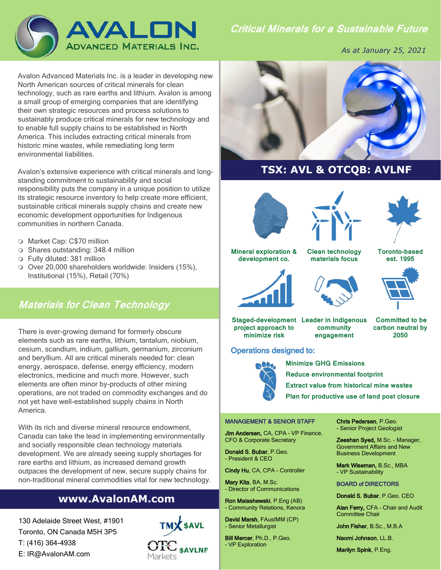

*As at January 25, 2021*

Avalon Advanced Materials Inc. is a leader in developing new North American sources of critical minerals for clean technology, such as rare earths and lithium. Avalon is among a small group of emerging companies that are identifying their own strategic resources and process solutions to sustainably produce critical minerals for new technology and to enable full supply chains to be established in North America. This includes extracting critical minerals from historic mine wastes, while remediating long term environmental liabilities.

Avalon's extensive experience with critical minerals and longstanding commitment to sustainability and social responsibility puts the company in a unique position to utilize its strategic resource inventory to help create more efficient, sustainable critical minerals supply chains and create new economic development opportunities for Indigenous communities in northern Canada.

- Market Cap: C\$70 million
- Shares outstanding: 348.4 million
- Fully diluted: 381 million
- O Over 20,000 shareholders worldwide: Insiders (15%), Institutional (15%), Retail (70%)

# **Materials for Clean Technology**

There is ever-growing demand for formerly obscure elements such as rare earths, lithium, tantalum, niobium, cesium, scandium, indium, gallium, germanium, zirconium and beryllium. All are critical minerals needed for: clean energy, aerospace, defense, energy efficiency, modern electronics, medicine and much more. However, such elements are often minor by-products of other mining operations, are not traded on commodity exchanges and do not yet have well-established supply chains in North America.

With its rich and diverse mineral resource endowment, Canada can take the lead in implementing environmentally and socially responsible clean technology materials development. We are already seeing supply shortages for rare earths and lithium, as increased demand growth outpaces the development of new, secure supply chains for non-traditional mineral commodities vital for new technology.

# **www.AvalonAM.com**

130 Adelaide Street West, #1901 Toronto, ON Canada M5H 3P5 T: (416) 364-4938 E: IR@AvalonAM.com





# **TSX: AVL & OTCQB: AVLNF**







#### **Mineral exploration & development co.**

**Clean technology** 

**Toronto-based est. 1995**



# **materials focus**





**Staged-development Leader in Indigenous project approach to minimize risk**

**community engagement**

**Committed to be carbon neutral by 2050** 

## Operations designed to:



 **Minimize GHG Emissions Reduce environmental footprint Extract value from historical mine wastes Plan for productive use of land post closure**

#### MANAGEMENT & SENIOR STAFF

Jim Andersen, CA, CPA - VP Finance, CFO & Corporate Secretary

Donald S. Bubar, P.Geo. - President & CEO

Cindy Hu, CA, CPA - Controller

Mary Kita, BA, M.Sc. - Director of Communications

Ron Malashewski, P.Eng (AB) - Community Relations, Kenora

David Marsh, FAusIMM (CP) - Senior Metallurgist

Bill Mercer, Ph.D., P.Geo. - VP Exploration

Chris Pedersen, P.Geo. - Senior Project Geologist

Zeeshan Syed, M.Sc. - Manager, Government Affairs and New Business Development

Mark Wiseman, B.Sc., MBA - VP Sustainability

#### BOARD of DIRECTORS

Donald S. Bubar, P.Geo. CEO

Alan Ferry, CFA - Chair and Audit Committee Chair

John Fisher, B.Sc., M.B.A

Naomi Johnson, LL.B.

Marilyn Spink, P.Eng.